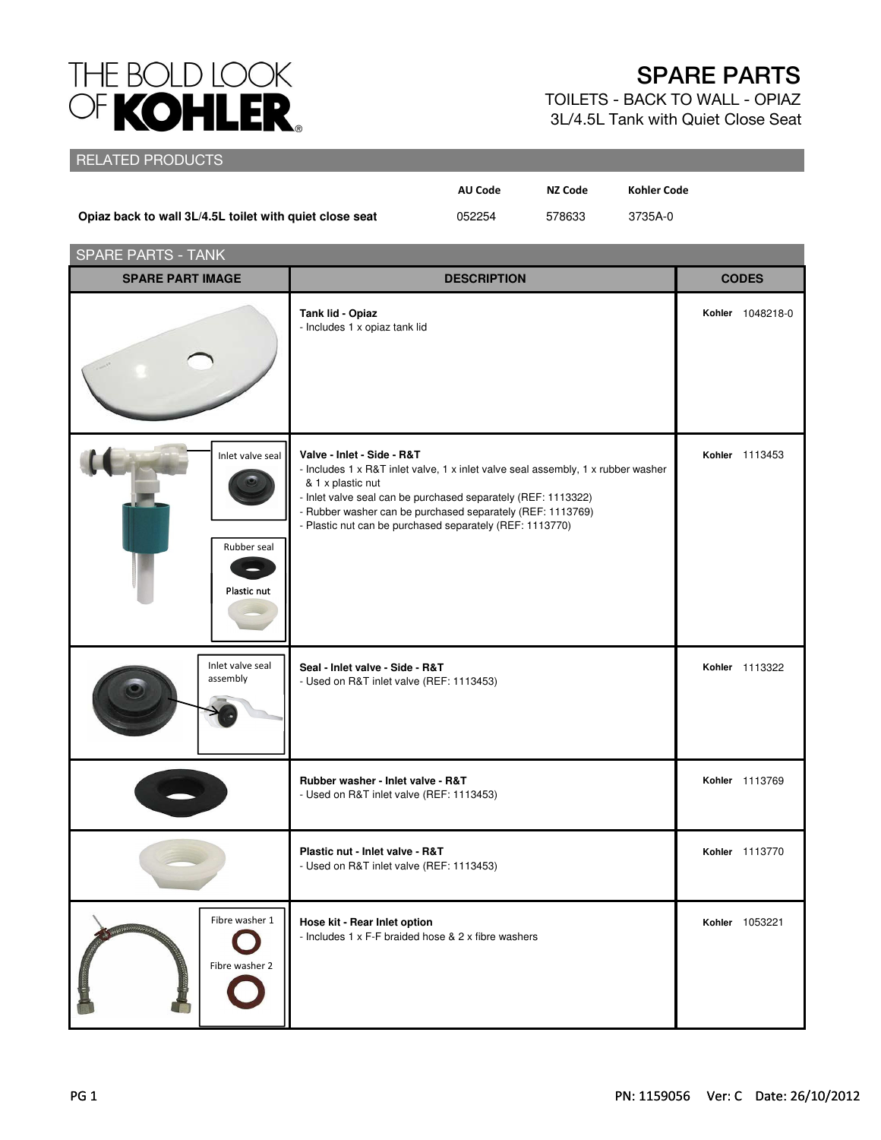## THE BOLD LOOK<br>OF KOHLER.

## SPARE PARTS

TOILETS - BACK TO WALL - OPIAZ 3L/4.5L Tank with Quiet Close Seat

## RELATED PRODUCTS

|                                                         | AU Code | NZ Code | <b>Kohler Code</b> |
|---------------------------------------------------------|---------|---------|--------------------|
| Opiaz back to wall 3L/4.5L toilet with quiet close seat | 052254  | 578633  | 3735A-0            |

| <b>SPARE PARTS - TANK</b>                      |                                                                                                                                                                                                                                                                                                                                |                  |  |
|------------------------------------------------|--------------------------------------------------------------------------------------------------------------------------------------------------------------------------------------------------------------------------------------------------------------------------------------------------------------------------------|------------------|--|
| <b>SPARE PART IMAGE</b>                        | <b>DESCRIPTION</b>                                                                                                                                                                                                                                                                                                             | <b>CODES</b>     |  |
|                                                | Tank lid - Opiaz<br>- Includes 1 x opiaz tank lid                                                                                                                                                                                                                                                                              | Kohler 1048218-0 |  |
| Inlet valve seal<br>Rubber seal<br>Plastic nut | Valve - Inlet - Side - R&T<br>- Includes 1 x R&T inlet valve, 1 x inlet valve seal assembly, 1 x rubber washer<br>& 1 x plastic nut<br>- Inlet valve seal can be purchased separately (REF: 1113322)<br>- Rubber washer can be purchased separately (REF: 1113769)<br>- Plastic nut can be purchased separately (REF: 1113770) | Kohler 1113453   |  |
| Inlet valve seal<br>assembly                   | Seal - Inlet valve - Side - R&T<br>- Used on R&T inlet valve (REF: 1113453)                                                                                                                                                                                                                                                    | Kohler 1113322   |  |
|                                                | Rubber washer - Inlet valve - R&T<br>- Used on R&T inlet valve (REF: 1113453)                                                                                                                                                                                                                                                  | Kohler 1113769   |  |
|                                                | Plastic nut - Inlet valve - R&T<br>- Used on R&T inlet valve (REF: 1113453)                                                                                                                                                                                                                                                    | Kohler 1113770   |  |
| Fibre washer 1<br>Fibre washer 2               | Hose kit - Rear Inlet option<br>- Includes 1 x F-F braided hose & 2 x fibre washers                                                                                                                                                                                                                                            | Kohler 1053221   |  |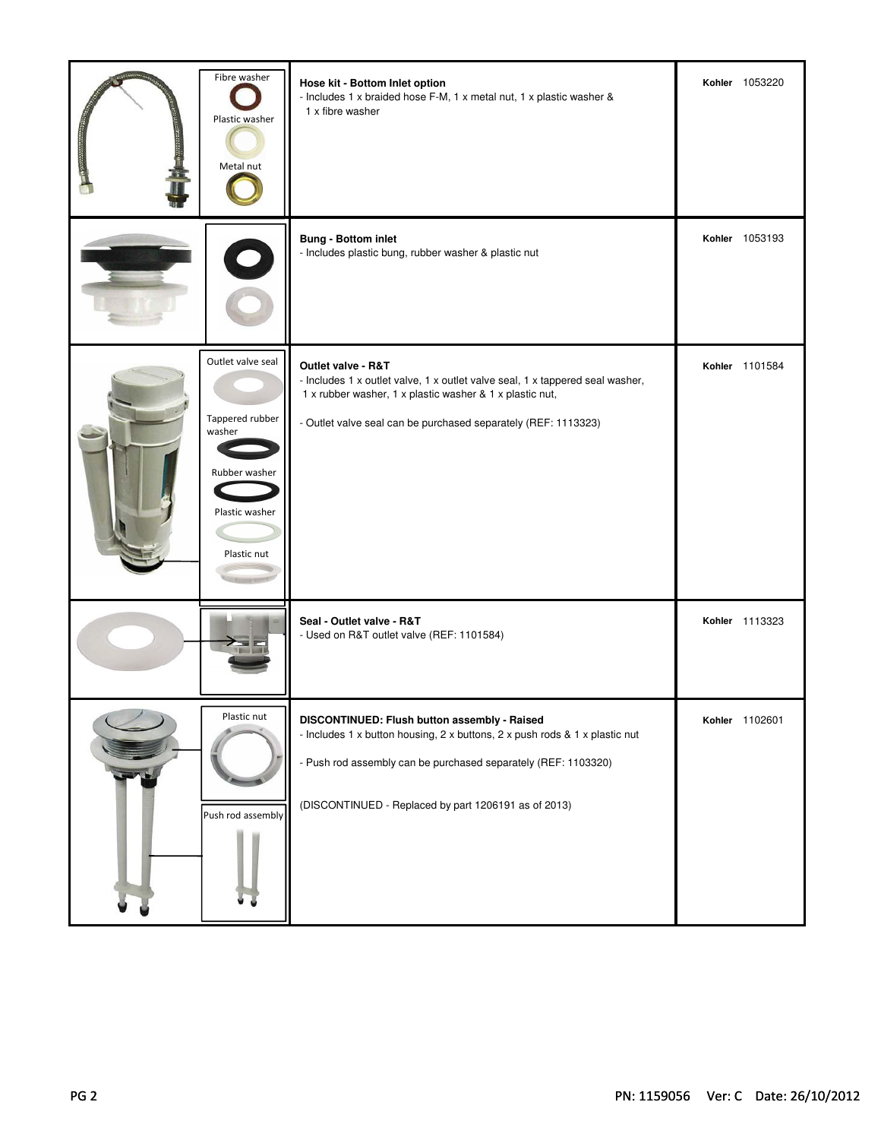| Fibre washer<br>Plastic washer<br>Metal nut                                                      | Hose kit - Bottom Inlet option<br>- Includes 1 x braided hose F-M, 1 x metal nut, 1 x plastic washer &<br>1 x fibre washer                                                                                                                            | Kohler 1053220 |
|--------------------------------------------------------------------------------------------------|-------------------------------------------------------------------------------------------------------------------------------------------------------------------------------------------------------------------------------------------------------|----------------|
|                                                                                                  | <b>Bung - Bottom inlet</b><br>- Includes plastic bung, rubber washer & plastic nut                                                                                                                                                                    | Kohler 1053193 |
| Outlet valve seal<br>Tappered rubber<br>washer<br>Rubber washer<br>Plastic washer<br>Plastic nut | Outlet valve - R&T<br>- Includes 1 x outlet valve, 1 x outlet valve seal, 1 x tappered seal washer,<br>1 x rubber washer, 1 x plastic washer & 1 x plastic nut,<br>- Outlet valve seal can be purchased separately (REF: 1113323)                     | Kohler 1101584 |
|                                                                                                  | Seal - Outlet valve - R&T<br>- Used on R&T outlet valve (REF: 1101584)                                                                                                                                                                                | Kohler 1113323 |
| Plastic nut<br>Push rod assembly                                                                 | DISCONTINUED: Flush button assembly - Raised<br>- Includes 1 x button housing, 2 x buttons, 2 x push rods & 1 x plastic nut<br>- Push rod assembly can be purchased separately (REF: 1103320)<br>(DISCONTINUED - Replaced by part 1206191 as of 2013) | Kohler 1102601 |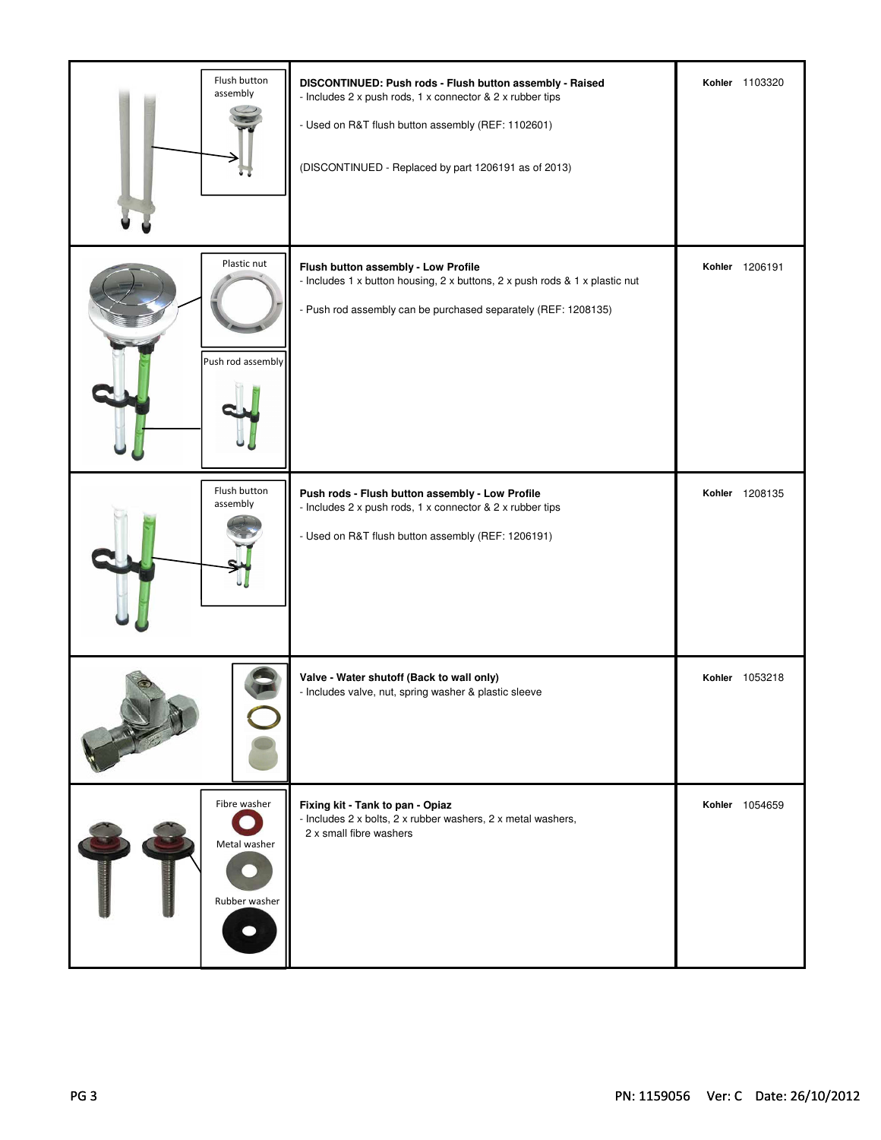| Flush button<br>assembly                      | DISCONTINUED: Push rods - Flush button assembly - Raised<br>- Includes 2 x push rods, 1 x connector & 2 x rubber tips<br>- Used on R&T flush button assembly (REF: 1102601)<br>(DISCONTINUED - Replaced by part 1206191 as of 2013) | Kohler 1103320 |
|-----------------------------------------------|-------------------------------------------------------------------------------------------------------------------------------------------------------------------------------------------------------------------------------------|----------------|
| Plastic nut<br>Push rod assembly              | Flush button assembly - Low Profile<br>- Includes 1 x button housing, 2 x buttons, 2 x push rods & 1 x plastic nut<br>- Push rod assembly can be purchased separately (REF: 1208135)                                                | Kohler 1206191 |
| Flush button<br>assembly                      | Push rods - Flush button assembly - Low Profile<br>- Includes 2 x push rods, 1 x connector & 2 x rubber tips<br>- Used on R&T flush button assembly (REF: 1206191)                                                                  | Kohler 1208135 |
|                                               | Valve - Water shutoff (Back to wall only)<br>- Includes valve, nut, spring washer & plastic sleeve                                                                                                                                  | Kohler 1053218 |
| Fibre washer<br>Metal washer<br>Rubber washer | Fixing kit - Tank to pan - Opiaz<br>- Includes 2 x bolts, 2 x rubber washers, 2 x metal washers,<br>2 x small fibre washers                                                                                                         | Kohler 1054659 |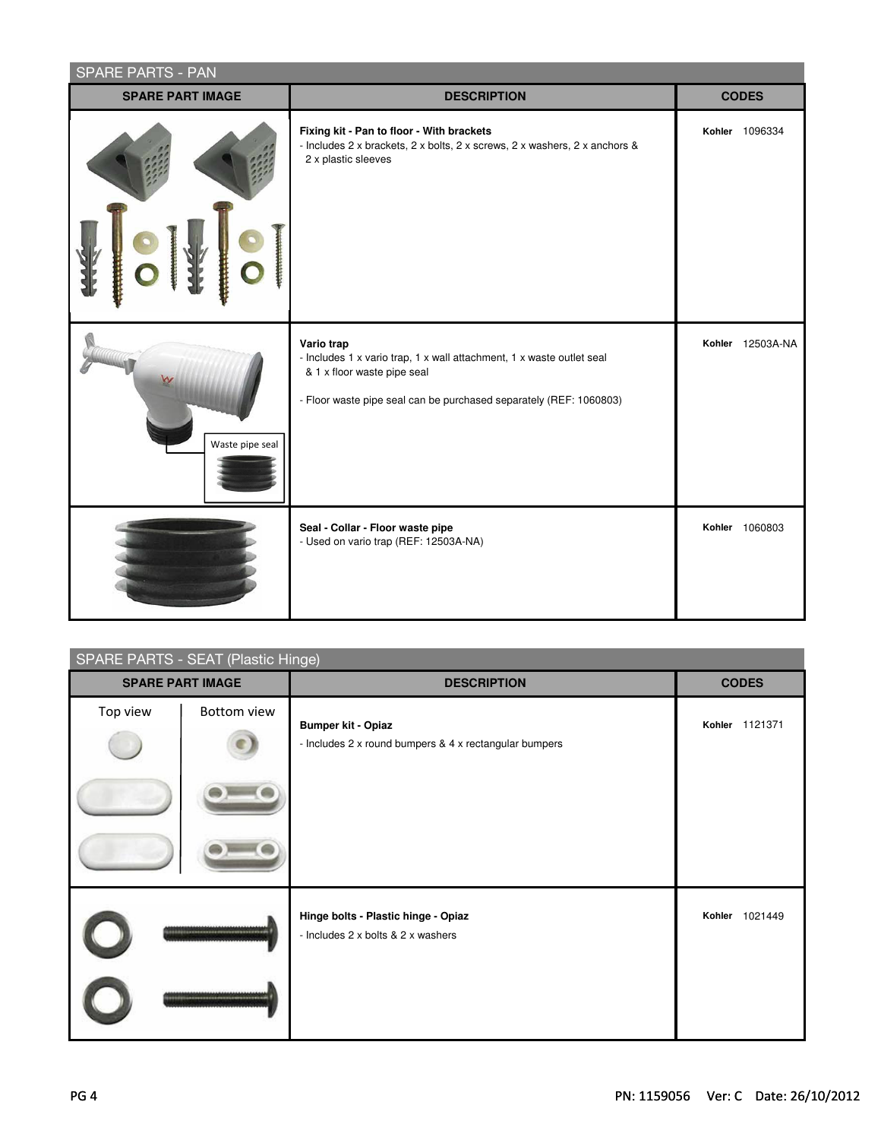| <b>SPARE PARTS - PAN</b> |                                                                                                                                                                                          |                  |  |  |
|--------------------------|------------------------------------------------------------------------------------------------------------------------------------------------------------------------------------------|------------------|--|--|
| <b>SPARE PART IMAGE</b>  | <b>DESCRIPTION</b>                                                                                                                                                                       | <b>CODES</b>     |  |  |
|                          | Fixing kit - Pan to floor - With brackets<br>- Includes 2 x brackets, 2 x bolts, 2 x screws, 2 x washers, 2 x anchors &<br>2 x plastic sleeves                                           | Kohler 1096334   |  |  |
| Waste pipe seal          | Vario trap<br>- Includes 1 x vario trap, 1 x wall attachment, 1 x waste outlet seal<br>& 1 x floor waste pipe seal<br>- Floor waste pipe seal can be purchased separately (REF: 1060803) | Kohler 12503A-NA |  |  |
|                          | Seal - Collar - Floor waste pipe<br>- Used on vario trap (REF: 12503A-NA)                                                                                                                | Kohler 1060803   |  |  |

| <b>SPARE PARTS - SEAT (Plastic Hinge)</b> |             |                                                                                     |                |
|-------------------------------------------|-------------|-------------------------------------------------------------------------------------|----------------|
| <b>SPARE PART IMAGE</b>                   |             | <b>DESCRIPTION</b>                                                                  | <b>CODES</b>   |
| Top view                                  | Bottom view | <b>Bumper kit - Opiaz</b><br>- Includes 2 x round bumpers & 4 x rectangular bumpers | Kohler 1121371 |
|                                           |             |                                                                                     |                |
|                                           |             | Hinge bolts - Plastic hinge - Opiaz<br>- Includes 2 x bolts & 2 x washers           | Kohler 1021449 |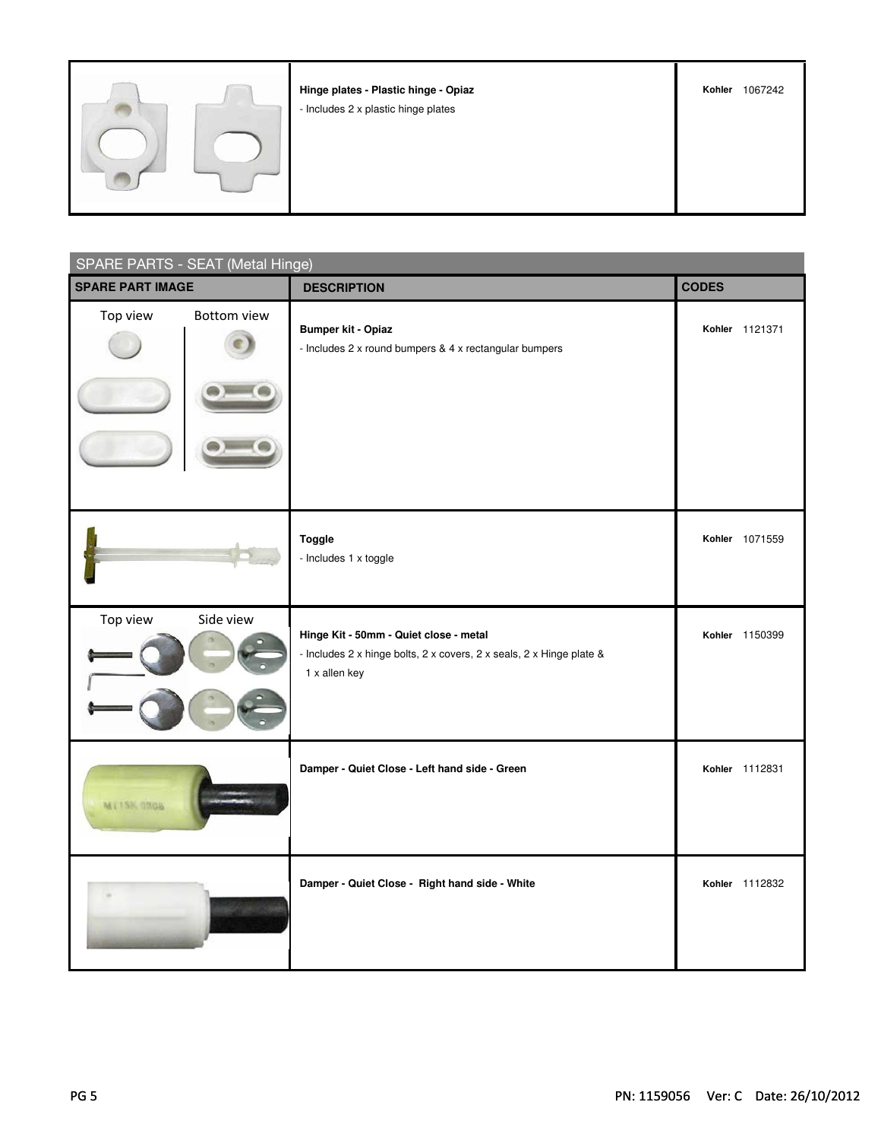|  | Hinge plates - Plastic hinge - Opiaz<br>- Includes 2 x plastic hinge plates | Kohler | 1067242 |
|--|-----------------------------------------------------------------------------|--------|---------|
|  |                                                                             |        |         |

| SPARE PARTS - SEAT (Metal Hinge) |                                                                                                                                 |                |  |
|----------------------------------|---------------------------------------------------------------------------------------------------------------------------------|----------------|--|
| <b>SPARE PART IMAGE</b>          | <b>DESCRIPTION</b>                                                                                                              | <b>CODES</b>   |  |
| Top view<br><b>Bottom view</b>   | <b>Bumper kit - Opiaz</b><br>- Includes 2 x round bumpers & 4 x rectangular bumpers                                             | Kohler 1121371 |  |
|                                  | <b>Toggle</b><br>- Includes 1 x toggle                                                                                          | Kohler 1071559 |  |
| Top view<br>Side view            | Hinge Kit - 50mm - Quiet close - metal<br>- Includes 2 x hinge bolts, 2 x covers, 2 x seals, 2 x Hinge plate &<br>1 x allen key | Kohler 1150399 |  |
| MT15K 0306                       | Damper - Quiet Close - Left hand side - Green                                                                                   | Kohler 1112831 |  |
|                                  | Damper - Quiet Close - Right hand side - White                                                                                  | Kohler 1112832 |  |